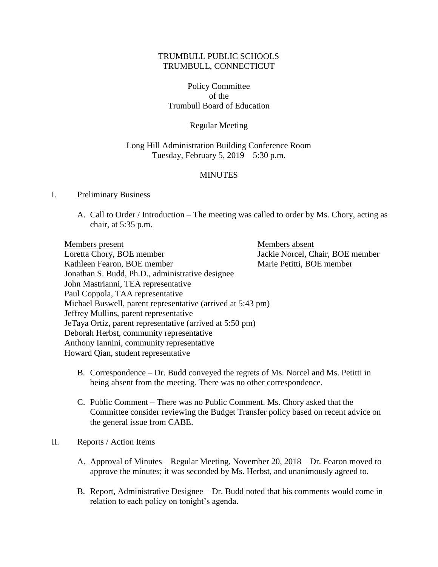# TRUMBULL PUBLIC SCHOOLS TRUMBULL, CONNECTICUT

Policy Committee of the Trumbull Board of Education

### Regular Meeting

### Long Hill Administration Building Conference Room Tuesday, February 5, 2019 – 5:30 p.m.

### **MINUTES**

#### I. Preliminary Business

A. Call to Order / Introduction – The meeting was called to order by Ms. Chory, acting as chair, at 5:35 p.m.

Members present Members absent Loretta Chory, BOE member Jackie Norcel, Chair, BOE member Kathleen Fearon, BOE member Marie Petitti, BOE member Jonathan S. Budd, Ph.D., administrative designee John Mastrianni, TEA representative Paul Coppola, TAA representative Michael Buswell, parent representative (arrived at 5:43 pm) Jeffrey Mullins, parent representative JeTaya Ortiz, parent representative (arrived at 5:50 pm) Deborah Herbst, community representative Anthony Iannini, community representative Howard Qian, student representative

- B. Correspondence Dr. Budd conveyed the regrets of Ms. Norcel and Ms. Petitti in being absent from the meeting. There was no other correspondence.
- C. Public Comment There was no Public Comment. Ms. Chory asked that the Committee consider reviewing the Budget Transfer policy based on recent advice on the general issue from CABE.

#### II. Reports / Action Items

- A. Approval of Minutes Regular Meeting, November 20, 2018 Dr. Fearon moved to approve the minutes; it was seconded by Ms. Herbst, and unanimously agreed to.
- B. Report, Administrative Designee Dr. Budd noted that his comments would come in relation to each policy on tonight's agenda.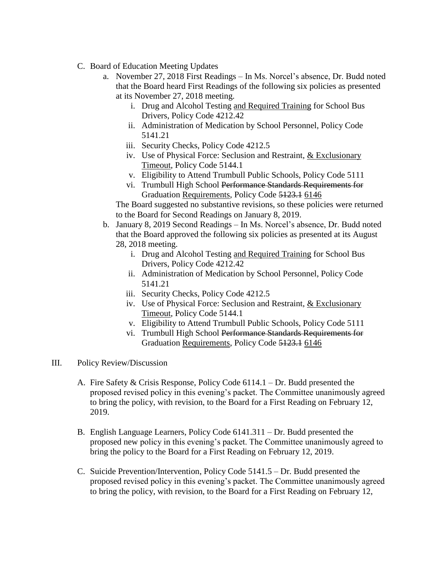- C. Board of Education Meeting Updates
	- a. November 27, 2018 First Readings In Ms. Norcel's absence, Dr. Budd noted that the Board heard First Readings of the following six policies as presented at its November 27, 2018 meeting.
		- i. Drug and Alcohol Testing and Required Training for School Bus Drivers, Policy Code 4212.42
		- ii. Administration of Medication by School Personnel, Policy Code 5141.21
		- iii. Security Checks, Policy Code 4212.5
		- iv. Use of Physical Force: Seclusion and Restraint, & Exclusionary Timeout, Policy Code 5144.1
		- v. Eligibility to Attend Trumbull Public Schools, Policy Code 5111
		- vi. Trumbull High School Performance Standards Requirements for Graduation Requirements, Policy Code 5123.1 6146

The Board suggested no substantive revisions, so these policies were returned to the Board for Second Readings on January 8, 2019.

- b. January 8, 2019 Second Readings In Ms. Norcel's absence, Dr. Budd noted that the Board approved the following six policies as presented at its August 28, 2018 meeting.
	- i. Drug and Alcohol Testing and Required Training for School Bus Drivers, Policy Code 4212.42
	- ii. Administration of Medication by School Personnel, Policy Code 5141.21
	- iii. Security Checks, Policy Code 4212.5
	- iv. Use of Physical Force: Seclusion and Restraint, & Exclusionary Timeout, Policy Code 5144.1
	- v. Eligibility to Attend Trumbull Public Schools, Policy Code 5111
	- vi. Trumbull High School Performance Standards Requirements for Graduation Requirements, Policy Code 5123.1 6146
- III. Policy Review/Discussion
	- A. Fire Safety & Crisis Response, Policy Code 6114.1 Dr. Budd presented the proposed revised policy in this evening's packet. The Committee unanimously agreed to bring the policy, with revision, to the Board for a First Reading on February 12, 2019.
	- B. English Language Learners, Policy Code 6141.311 Dr. Budd presented the proposed new policy in this evening's packet. The Committee unanimously agreed to bring the policy to the Board for a First Reading on February 12, 2019.
	- C. Suicide Prevention/Intervention, Policy Code 5141.5 Dr. Budd presented the proposed revised policy in this evening's packet. The Committee unanimously agreed to bring the policy, with revision, to the Board for a First Reading on February 12,